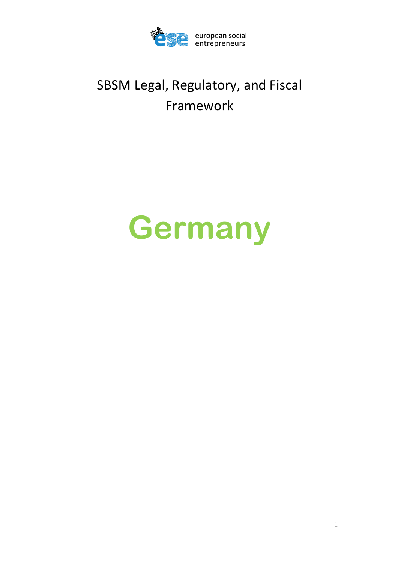

# SBSM Legal, Regulatory, and Fiscal Framework

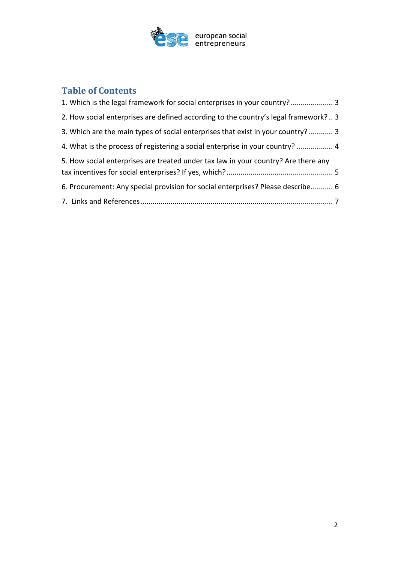

## **Table of Contents**

<span id="page-1-0"></span>

| 2. How social enterprises are defined according to the country's legal framework? 3 |
|-------------------------------------------------------------------------------------|
| 3. Which are the main types of social enterprises that exist in your country?  3    |
| 4. What is the process of registering a social enterprise in your country?  4       |
| 5. How social enterprises are treated under tax law in your country? Are there any  |
| 6. Procurement: Any special provision for social enterprises? Please describe 6     |
|                                                                                     |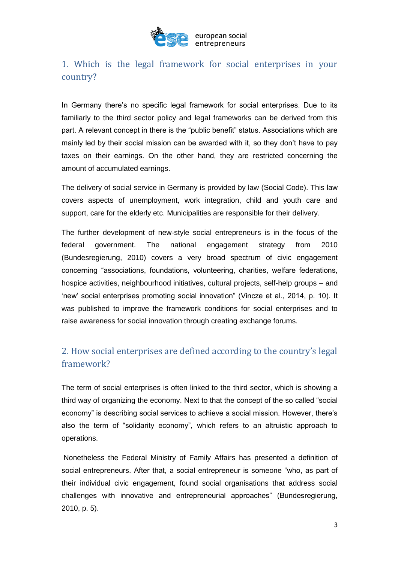

### 1. Which is the legal framework for social enterprises in your country?

In Germany there's no specific legal framework for social enterprises. Due to its familiarly to the third sector policy and legal frameworks can be derived from this part. A relevant concept in there is the "public benefit" status. Associations which are mainly led by their social mission can be awarded with it, so they don't have to pay taxes on their earnings. On the other hand, they are restricted concerning the amount of accumulated earnings.

The delivery of social service in Germany is provided by law (Social Code). This law covers aspects of unemployment, work integration, child and youth care and support, care for the elderly etc. Municipalities are responsible for their delivery.

The further development of new-style social entrepreneurs is in the focus of the federal government. The national engagement strategy from 2010 (Bundesregierung, 2010) covers a very broad spectrum of civic engagement concerning "associations, foundations, volunteering, charities, welfare federations, hospice activities, neighbourhood initiatives, cultural projects, self-help groups – and 'new' social enterprises promoting social innovation" (Vincze et al., 2014, p. 10). It was published to improve the framework conditions for social enterprises and to raise awareness for social innovation through creating exchange forums.

## <span id="page-2-0"></span>2. How social enterprises are defined according to the country's legal framework?

<span id="page-2-1"></span>The term of social enterprises is often linked to the third sector, which is showing a third way of organizing the economy. Next to that the concept of the so called "social economy" is describing social services to achieve a social mission. However, there's also the term of "solidarity economy", which refers to an altruistic approach to operations.

Nonetheless the Federal Ministry of Family Affairs has presented a definition of social entrepreneurs. After that, a social entrepreneur is someone "who, as part of their individual civic engagement, found social organisations that address social challenges with innovative and entrepreneurial approaches" (Bundesregierung, 2010, p. 5).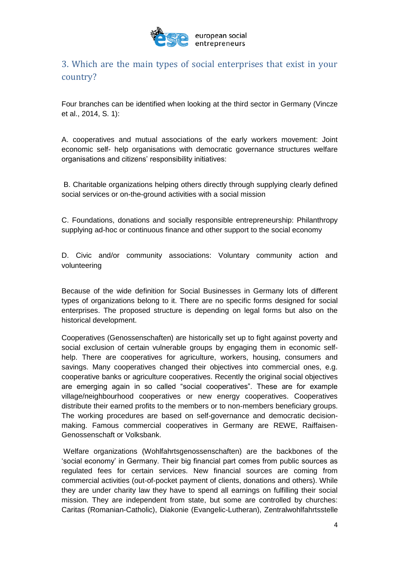

## 3. Which are the main types of social enterprises that exist in your country?

<span id="page-3-0"></span>Four branches can be identified when looking at the third sector in Germany (Vincze et al., 2014, S. 1):

A. cooperatives and mutual associations of the early workers movement: Joint economic self- help organisations with democratic governance structures welfare organisations and citizens' responsibility initiatives:

B. Charitable organizations helping others directly through supplying clearly defined social services or on-the-ground activities with a social mission

C. Foundations, donations and socially responsible entrepreneurship: Philanthropy supplying ad-hoc or continuous finance and other support to the social economy

D. Civic and/or community associations: Voluntary community action and volunteering

Because of the wide definition for Social Businesses in Germany lots of different types of organizations belong to it. There are no specific forms designed for social enterprises. The proposed structure is depending on legal forms but also on the historical development.

Cooperatives (Genossenschaften) are historically set up to fight against poverty and social exclusion of certain vulnerable groups by engaging them in economic selfhelp. There are cooperatives for agriculture, workers, housing, consumers and savings. Many cooperatives changed their objectives into commercial ones, e.g. cooperative banks or agriculture cooperatives. Recently the original social objectives are emerging again in so called "social cooperatives". These are for example village/neighbourhood cooperatives or new energy cooperatives. Cooperatives distribute their earned profits to the members or to non-members beneficiary groups. The working procedures are based on self-governance and democratic decisionmaking. Famous commercial cooperatives in Germany are REWE, Raiffaisen-Genossenschaft or Volksbank.

Welfare organizations (Wohlfahrtsgenossenschaften) are the backbones of the 'social economy' in Germany. Their big financial part comes from public sources as regulated fees for certain services. New financial sources are coming from commercial activities (out-of-pocket payment of clients, donations and others). While they are under charity law they have to spend all earnings on fulfilling their social mission. They are independent from state, but some are controlled by churches: Caritas (Romanian-Catholic), Diakonie (Evangelic-Lutheran), Zentralwohlfahrtsstelle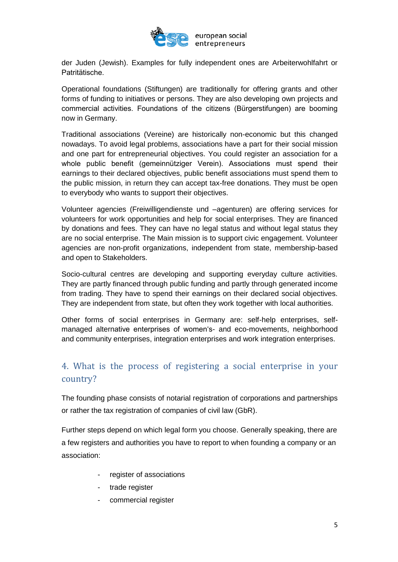

der Juden (Jewish). Examples for fully independent ones are Arbeiterwohlfahrt or Patritätische.

Operational foundations (Stiftungen) are traditionally for offering grants and other forms of funding to initiatives or persons. They are also developing own projects and commercial activities. Foundations of the citizens (Bürgerstifungen) are booming now in Germany.

Traditional associations (Vereine) are historically non-economic but this changed nowadays. To avoid legal problems, associations have a part for their social mission and one part for entrepreneurial objectives. You could register an association for a whole public benefit (gemeinnütziger Verein). Associations must spend their earnings to their declared objectives, public benefit associations must spend them to the public mission, in return they can accept tax-free donations. They must be open to everybody who wants to support their objectives.

Volunteer agencies (Freiwilligendienste und –agenturen) are offering services for volunteers for work opportunities and help for social enterprises. They are financed by donations and fees. They can have no legal status and without legal status they are no social enterprise. The Main mission is to support civic engagement. Volunteer agencies are non-profit organizations, independent from state, membership-based and open to Stakeholders.

Socio-cultural centres are developing and supporting everyday culture activities. They are partly financed through public funding and partly through generated income from trading. They have to spend their earnings on their declared social objectives. They are independent from state, but often they work together with local authorities.

Other forms of social enterprises in Germany are: self-help enterprises, selfmanaged alternative enterprises of women's- and eco-movements, neighborhood and community enterprises, integration enterprises and work integration enterprises.

### 4. What is the process of registering a social enterprise in your country?

<span id="page-4-0"></span>The founding phase consists of notarial registration of corporations and partnerships or rather the tax registration of companies of civil law (GbR).

Further steps depend on which legal form you choose. Generally speaking, there are a few registers and authorities you have to report to when founding a company or an association:

- register of associations
- trade register
- commercial register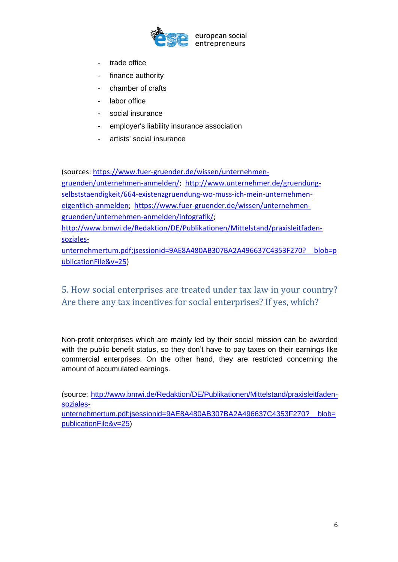

- trade office
- finance authority
- chamber of crafts
- labor office
- social insurance
- [employer's](https://www.dict.cc/englisch-deutsch/employer%27s.html) [liability](https://www.dict.cc/englisch-deutsch/liability.html) insurance association
- [artists'](https://www.dict.cc/englisch-deutsch/artists%27.html) [social](https://www.dict.cc/englisch-deutsch/social.html) insurance

(sources: [https://www.fuer-gruender.de/wissen/unternehmen-](https://www.fuer-gruender.de/wissen/unternehmen-gruenden/unternehmen-anmelden/)

[gruenden/unternehmen-anmelden/;](https://www.fuer-gruender.de/wissen/unternehmen-gruenden/unternehmen-anmelden/) [http://www.unternehmer.de/gruendung](http://www.unternehmer.de/gruendung-selbststaendigkeit/664-existenzgruendung-wo-muss-ich-mein-unternehmen-eigentlich-anmelden)[selbststaendigkeit/664-existenzgruendung-wo-muss-ich-mein-unternehmen](http://www.unternehmer.de/gruendung-selbststaendigkeit/664-existenzgruendung-wo-muss-ich-mein-unternehmen-eigentlich-anmelden)[eigentlich-anmelden;](http://www.unternehmer.de/gruendung-selbststaendigkeit/664-existenzgruendung-wo-muss-ich-mein-unternehmen-eigentlich-anmelden) [https://www.fuer-gruender.de/wissen/unternehmen](https://www.fuer-gruender.de/wissen/unternehmen-gruenden/unternehmen-anmelden/infografik/)[gruenden/unternehmen-anmelden/infografik/;](https://www.fuer-gruender.de/wissen/unternehmen-gruenden/unternehmen-anmelden/infografik/) [http://www.bmwi.de/Redaktion/DE/Publikationen/Mittelstand/praxisleitfaden](http://www.bmwi.de/Redaktion/DE/Publikationen/Mittelstand/praxisleitfaden-soziales-unternehmertum.pdf;jsessionid=9AE8A480AB307BA2A496637C4353F270?__blob=publicationFile&v=25)[soziales](http://www.bmwi.de/Redaktion/DE/Publikationen/Mittelstand/praxisleitfaden-soziales-unternehmertum.pdf;jsessionid=9AE8A480AB307BA2A496637C4353F270?__blob=publicationFile&v=25)[unternehmertum.pdf;jsessionid=9AE8A480AB307BA2A496637C4353F270?\\_\\_blob=p](http://www.bmwi.de/Redaktion/DE/Publikationen/Mittelstand/praxisleitfaden-soziales-unternehmertum.pdf;jsessionid=9AE8A480AB307BA2A496637C4353F270?__blob=publicationFile&v=25) [ublicationFile&v=25\)](http://www.bmwi.de/Redaktion/DE/Publikationen/Mittelstand/praxisleitfaden-soziales-unternehmertum.pdf;jsessionid=9AE8A480AB307BA2A496637C4353F270?__blob=publicationFile&v=25)

### 5. How social enterprises are treated under tax law in your country? Are there any tax incentives for social enterprises? If yes, which?

<span id="page-5-0"></span>Non-profit enterprises which are mainly led by their social mission can be awarded with the public benefit status, so they don't have to pay taxes on their earnings like commercial enterprises. On the other hand, they are restricted concerning the amount of accumulated earnings.

(source: [http://www.bmwi.de/Redaktion/DE/Publikationen/Mittelstand/praxisleitfaden](http://www.bmwi.de/Redaktion/DE/Publikationen/Mittelstand/praxisleitfaden-soziales-unternehmertum.pdf;jsessionid=9AE8A480AB307BA2A496637C4353F270?__blob=publicationFile&v=25)[soziales](http://www.bmwi.de/Redaktion/DE/Publikationen/Mittelstand/praxisleitfaden-soziales-unternehmertum.pdf;jsessionid=9AE8A480AB307BA2A496637C4353F270?__blob=publicationFile&v=25)unternehmertum.pdf:jsessionid=9AE8A480AB307BA2A496637C4353F270? blob=

[publicationFile&v=25\)](http://www.bmwi.de/Redaktion/DE/Publikationen/Mittelstand/praxisleitfaden-soziales-unternehmertum.pdf;jsessionid=9AE8A480AB307BA2A496637C4353F270?__blob=publicationFile&v=25)